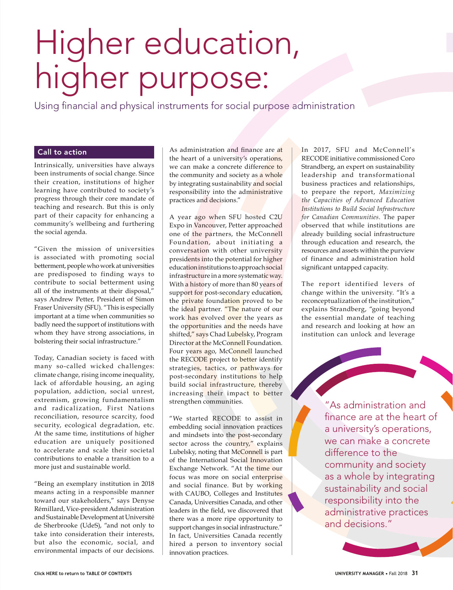# Higher education, higher purpose:

Using financial and physical instruments for social purpose administration

# Call to action

Intrinsically, universities have always been instruments of social change. Since their creation, institutions of higher learning have contributed to society's progress through their core mandate of teaching and research. But this is only part of their capacity for enhancing a community's wellbeing and furthering the social agenda.

"Given the mission of universities is associated with promoting social betterment, people who work at universities are predisposed to finding ways to contribute to social betterment using all of the instruments at their disposal," says Andrew Petter, President of Simon Fraser University (SFU). "This is especially important at a time when communities so badly need the support of institutions with whom they have strong associations, in bolstering their social infrastructure."

Today, Canadian society is faced with many so-called wicked challenges: climate change, rising income inequality, lack of affordable housing, an aging population, addiction, social unrest, extremism, growing fundamentalism and radicalization, First Nations reconciliation, resource scarcity, food security, ecological degradation, etc. At the same time, institutions of higher education are uniquely positioned to accelerate and scale their societal contributions to enable a transition to a more just and sustainable world.

"Being an exemplary institution in 2018 means acting in a responsible manner toward our stakeholders," says Denyse Rémillard, Vice-president Administration and Sustainable Development at Université de Sherbrooke (UdeS), "and not only to take into consideration their interests, but also the economic, social, and environmental impacts of our decisions.

As administration and finance are at the heart of a university's operations, we can make a concrete difference to the community and society as a whole by integrating sustainability and social responsibility into the administrative practices and decisions."

A year ago when SFU hosted C2U Expo in Vancouver, Petter approached one of the partners, the McConnell Foundation, about initiating a conversation with other university presidents into the potential for higher education institutions to approach social infrastructure in a more systematic way. With a history of more than 80 years of support for post-secondary education, the private foundation proved to be the ideal partner. "The nature of our work has evolved over the years as the opportunities and the needs have shifted," says Chad Lubelsky, Program Director at the McConnell Foundation. Four years ago, McConnell launched the RECODE project to better identify strategies, tactics, or pathways for post-secondary institutions to help build social infrastructure, thereby increasing their impact to better strengthen communities.

"We started RECODE to assist in embedding social innovation practices and mindsets into the post-secondary sector across the country," explains Lubelsky, noting that McConnell is part of the International Social Innovation Exchange Network. "At the time our focus was more on social enterprise and social finance. But by working with CAUBO, Colleges and Institutes Canada, Universities Canada, and other leaders in the field, we discovered that there was a more ripe opportunity to support changes in social infrastructure." In fact, Universities Canada recently hired a person to inventory social innovation practices.

In 2017, SFU and McConnell's RECODE initiative commissioned Coro Strandberg, an expert on sustainability leadership and transformational business practices and relationships, to prepare the report, *Maximizing the Capacities of Advanced Education Institutions to Build Social Infrastructure for Canadian Communities*. The paper observed that while institutions are already building social infrastructure through education and research, the resources and assets within the purview of finance and administration hold significant untapped capacity.

The report identified levers of change within the university. "It's a reconceptualization of the institution," explains Strandberg, "going beyond the essential mandate of teaching and research and looking at how an institution can unlock and leverage

> "As administration and finance are at the heart of a university's operations, we can make a concrete difference to the community and society as a whole by integrating sustainability and social responsibility into the administrative practices and decisions."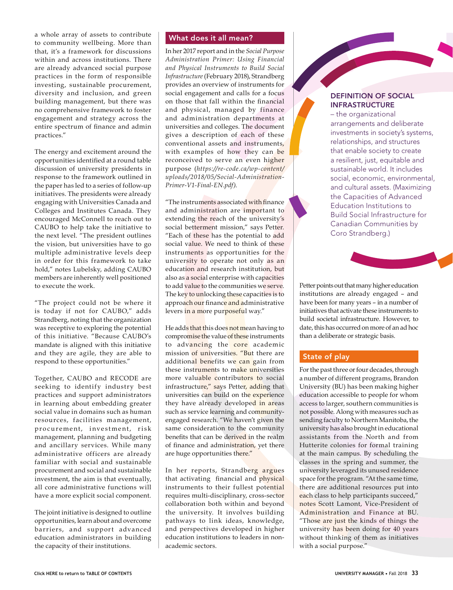a whole array of assets to contribute to community wellbeing. More than that, it's a framework for discussions within and across institutions. There are already advanced social purpose practices in the form of responsible investing, sustainable procurement, diversity and inclusion, and green building management, but there was no comprehensive framework to foster engagement and strategy across the entire spectrum of finance and admin practices."

The energy and excitement around the opportunities identified at a round table discussion of university presidents in response to the framework outlined in the paper has led to a series of follow-up initiatives. The presidents were already engaging with Universities Canada and Colleges and Institutes Canada. They encouraged McConnell to reach out to CAUBO to help take the initiative to the next level. "The president outlines the vision, but universities have to go multiple administrative levels deep in order for this framework to take hold," notes Lubelsky, adding CAUBO members are inherently well positioned to execute the work.

"The project could not be where it is today if not for CAUBO," adds Strandberg, noting that the organization was receptive to exploring the potential of this initiative. "Because CAUBO's mandate is aligned with this initiative and they are agile, they are able to respond to these opportunities."

Together, CAUBO and RECODE are seeking to identify industry best practices and support administrators in learning about embedding greater social value in domains such as human resources, facilities management, procurement, investment, risk management, planning and budgeting and ancillary services. While many administrative officers are already familiar with social and sustainable procurement and social and sustainable investment, the aim is that eventually, all core administrative functions will have a more explicit social component.

The joint initiative is designed to outline opportunities, learn about and overcome barriers, and support advanced education administrators in building the capacity of their institutions.

#### What does it all mean?

In her 2017 report and in the *Social Purpose Administration Primer: Using Financial and Physical Instruments to Build Social Infrastructure* (February 2018), Strandberg provides an overview of instruments for social engagement and calls for a focus on those that fall within the financial and physical, managed by finance and administration departments at universities and colleges. The document gives a description of each of these conventional assets and instruments, with examples of how they can be reconceived to serve an even higher purpose (*[https://re-code.ca/wp-content/](https://re-code.ca/wp-content/uploads/2018/05/Social-Administration-Primer-V1-Final-EN.pdf) [uploads/2018/05/Social-Administration-](https://re-code.ca/wp-content/uploads/2018/05/Social-Administration-Primer-V1-Final-EN.pdf)[Primer-V1-Final-EN.pdf\)](https://re-code.ca/wp-content/uploads/2018/05/Social-Administration-Primer-V1-Final-EN.pdf)*.

"The instruments associated with finance and administration are important to extending the reach of the university's social betterment mission," says Petter. "Each of these has the potential to add social value. We need to think of these instruments as opportunities for the university to operate not only as an education and research institution, but also as a social enterprise with capacities to add value to the communities we serve. The key to unlocking these capacities is to approach our finance and administrative levers in a more purposeful way."

He adds that this does not mean having to compromise the value of these instruments to advancing the core academic mission of universities. "But there are additional benefits we can gain from these instruments to make universities more valuable contributors to social infrastructure," says Petter, adding that universities can build on the experience they have already developed in areas such as service learning and communityengaged research. "We haven't given the same consideration to the community benefits that can be derived in the realm of finance and administration, yet there are huge opportunities there."

In her reports, Strandberg argues that activating financial and physical instruments to their fullest potential requires multi-disciplinary, cross-sector collaboration both within and beyond the university. It involves building pathways to link ideas, knowledge, and perspectives developed in higher education institutions to leaders in nonacademic sectors.

#### DEFINITION OF SOCIAL INFRASTRUCTURE

– the organizational arrangements and deliberate investments in society's systems, relationships, and structures that enable society to create a resilient, just, equitable and sustainable world. It includes social, economic, environmental, and cultural assets. (Maximizing the Capacities of Advanced Education Institutions to Build Social Infrastructure for Canadian Communities by Coro Strandberg.)

Petter points out that many higher education institutions are already engaged – and have been for many years – in a number of initiatives that activate these instruments to build societal infrastructure. However, to date, this has occurred on more of an ad hoc than a deliberate or strategic basis.

#### State of play

For the past three or four decades, through a number of different programs, Brandon University (BU) has been making higher education accessible to people for whom access to larger, southern communities is not possible. Along with measures such as sending faculty to Northern Manitoba, the university has also brought in educational assistants from the North and from Hutterite colonies for formal training at the main campus. By scheduling the classes in the spring and summer, the university leveraged its unused residence space for the program. "At the same time, there are additional resources put into each class to help participants succeed," notes Scott Lamont, Vice-President of Administration and Finance at BU. "Those are just the kinds of things the university has been doing for 40 years without thinking of them as initiatives with a social purpose."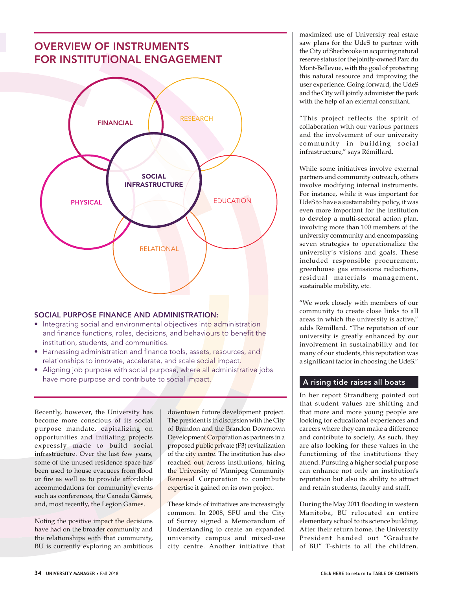

## SOCIAL PURPOSE FINANCE AND ADMINISTRATION:

- Integrating social and environmental objectives into administration and finance functions, roles, decisions, and behaviours to benefit the institution, students, and communities.
- Harnessing administration and finance tools, assets, resources, and relationships to innovate, accelerate, and scale social impact.
- Aligning job purpose with social purpose, where all administrative jobs have more purpose and contribute to social impact.

Recently, however, the University has become more conscious of its social purpose mandate, capitalizing on opportunities and initiating projects expressly made to build social infrastructure. Over the last few years, some of the unused residence space has been used to house evacuees from flood or fire as well as to provide affordable accommodations for community events such as conferences, the Canada Games, and, most recently, the Legion Games.

Noting the positive impact the decisions have had on the broader community and the relationships with that community, BU is currently exploring an ambitious downtown future development project. The president is in discussion with the City of Brandon and the Brandon Downtown Development Corporation as partners in a proposed public private (P3) revitalization of the city centre. The institution has also reached out across institutions, hiring the University of Winnipeg Community Renewal Corporation to contribute expertise it gained on its own project.

These kinds of initiatives are increasingly common. In 2008, SFU and the City of Surrey signed a Memorandum of Understanding to create an expanded university campus and mixed-use city centre. Another initiative that maximized use of University real estate saw plans for the UdeS to partner with the City of Sherbrooke in acquiring natural reserve status for the jointly-owned Parc du Mont-Bellevue, with the goal of protecting this natural resource and improving the user experience. Going forward, the UdeS and the City will jointly administer the park with the help of an external consultant.

"This project reflects the spirit of collaboration with our various partners and the involvement of our university community in building social infrastructure," says Rémillard.

While some initiatives involve external partners and community outreach, others involve modifying internal instruments. For instance, while it was important for UdeS to have a sustainability policy, it was even more important for the institution to develop a multi-sectoral action plan, involving more than 100 members of the university community and encompassing seven strategies to operationalize the university's visions and goals. These included responsible procurement, greenhouse gas emissions reductions, residual materials management, sustainable mobility, etc.

"We work closely with members of our community to create close links to all areas in which the university is active," adds Rémillard. "The reputation of our university is greatly enhanced by our involvement in sustainability and for many of our students, this reputation was a significant factor in choosing the UdeS."

## A rising tide raises all boats

In her report Strandberg pointed out that student values are shifting and that more and more young people are looking for educational experiences and careers where they can make a difference and contribute to society. As such, they are also looking for these values in the functioning of the institutions they attend. Pursuing a higher social purpose can enhance not only an institution's reputation but also its ability to attract and retain students, faculty and staff.

During the May 2011 flooding in western Manitoba, BU relocated an entire elementary school to its science building. After their return home, the University President handed out "Graduate of BU" T-shirts to all the children.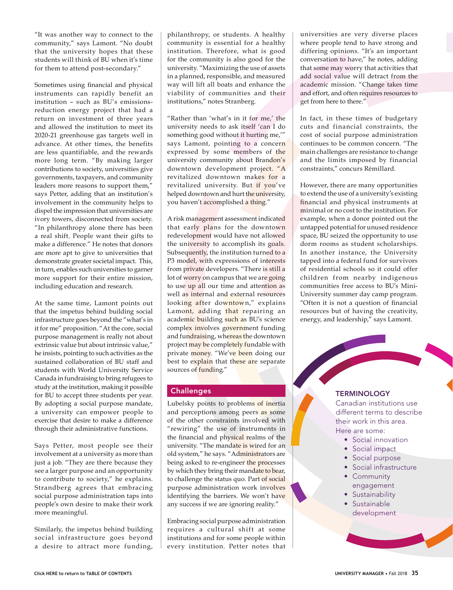"It was another way to connect to the community," says Lamont. "No doubt that the university hopes that these students will think of BU when it's time for them to attend post-secondary."

Sometimes using financial and physical instruments can rapidly benefit an institution – such as BU's emissionsreduction energy project that had a return on investment of three years and allowed the institution to meet its 2020-21 greenhouse gas targets well in advance. At other times, the benefits are less quantifiable, and the rewards more long term. "By making larger contributions to society, universities give governments, taxpayers, and community leaders more reasons to support them," says Petter, adding that an institution's involvement in the community helps to dispel the impression that universities are ivory towers, disconnected from society. "In philanthropy alone there has been a real shift. People want their gifts to make a difference." He notes that donors are more apt to give to universities that demonstrate greater societal impact. This, in turn, enables such universities to garner more support for their entire mission, including education and research.

At the same time, Lamont points out that the impetus behind building social infrastructure goes beyond the "what's in it for me" proposition. "At the core, social purpose management is really not about extrinsic value but about intrinsic value," he insists, pointing to such activities as the sustained collaboration of BU staff and students with World University Service Canada in fundraising to bring refugees to study at the institution, making it possible for BU to accept three students per year. By adopting a social purpose mandate, a university can empower people to exercise that desire to make a difference through their administrative functions.

Says Petter, most people see their involvement at a university as more than just a job. "They are there because they see a larger purpose and an opportunity to contribute to society," he explains. Strandberg agrees that embracing social purpose administration taps into people's own desire to make their work more meaningful.

Similarly, the impetus behind building social infrastructure goes beyond a desire to attract more funding,

philanthropy, or students. A healthy community is essential for a healthy institution. Therefore, what is good for the community is also good for the university. "Maximizing the use of assets in a planned, responsible, and measured way will lift all boats and enhance the viability of communities and their institutions," notes Stranberg.

"Rather than 'what's in it for me,' the university needs to ask itself 'can I do something good without it hurting me,'" says Lamont, pointing to a concern expressed by some members of the university community about Brandon's downtown development project. "A revitalized downtown makes for a revitalized university. But if you've helped downtown and hurt the university, you haven't accomplished a thing."

A risk management assessment indicated that early plans for the downtown redevelopment would have not allowed the university to accomplish its goals. Subsequently, the institution turned to a P3 model, with expressions of interests from private developers. "There is still a lot of worry on campus that we are going to use up all our time and attention as well as internal and external resources looking after downtown," explains Lamont, adding that repairing an academic building such as BU's science complex involves government funding and fundraising, whereas the downtown project may be completely fundable with private money. "We've been doing our best to explain that these are separate sources of funding."

# **Challenges**

Lubelsky points to problems of inertia and perceptions among peers as some of the other constraints involved with "rewiring" the use of instruments in the financial and physical realms of the university. "The mandate is wired for an old system," he says. "Administrators are being asked to re-engineer the processes by which they bring their mandate to bear, to challenge the status quo. Part of social purpose administration work involves identifying the barriers. We won't have any success if we are ignoring reality."

Embracing social purpose administration requires a cultural shift at some institutions and for some people within every institution. Petter notes that

universities are very diverse places where people tend to have strong and differing opinions. "It's an important conversation to have," he notes, adding that some may worry that activities that add social value will detract from the academic mission. "Change takes time and effort, and often requires resources to get from here to there."

In fact, in these times of budgetary cuts and financial constraints, the cost of social purpose administration continues to be common concern. "The main challenges are resistance to change and the limits imposed by financial constraints," concurs Rémillard.

However, there are many opportunities to extend the use of a university's existing financial and physical instruments at minimal or no cost to the institution. For example, when a donor pointed out the untapped potential for unused residence space, BU seized the opportunity to use dorm rooms as student scholarships. In another instance, the University tapped into a federal fund for survivors of residential schools so it could offer children from nearby indigenous communities free access to BU's Mini-University summer day camp program. "Often it is not a question of financial resources but of having the creativity, energy, and leadership," says Lamont.

#### **TERMINOLOGY**

Canadian institutions use different terms to describe their work in this area. Here are some:

- Social innovation
- Social impact
- Social purpose
- Social infrastructure
- Community engagement
- Sustainability
- Sustainable development